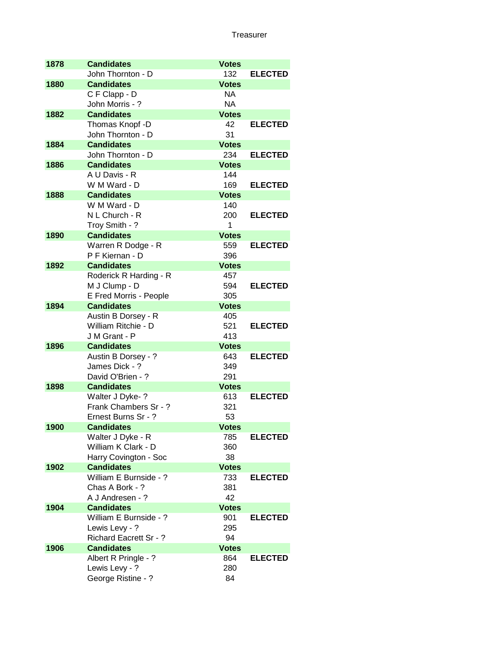| 1878 | <b>Candidates</b>      | <b>Votes</b> |                |
|------|------------------------|--------------|----------------|
|      | John Thornton - D      | 132          | <b>ELECTED</b> |
| 1880 | <b>Candidates</b>      | <b>Votes</b> |                |
|      | C F Clapp - D          | <b>NA</b>    |                |
|      | John Morris - ?        | <b>NA</b>    |                |
| 1882 | <b>Candidates</b>      | <b>Votes</b> |                |
|      | Thomas Knopf -D        | 42           | <b>ELECTED</b> |
|      | John Thornton - D      | 31           |                |
| 1884 | <b>Candidates</b>      | <b>Votes</b> |                |
|      | John Thornton - D      | 234          | <b>ELECTED</b> |
| 1886 | <b>Candidates</b>      | <b>Votes</b> |                |
|      | A U Davis - R          | 144          |                |
|      | W M Ward - D           | 169          | <b>ELECTED</b> |
| 1888 | <b>Candidates</b>      | <b>Votes</b> |                |
|      | W M Ward - D           | 140          |                |
|      | N L Church - R         | 200          | <b>ELECTED</b> |
|      | Troy Smith - ?         | 1            |                |
| 1890 | <b>Candidates</b>      | <b>Votes</b> |                |
|      | Warren R Dodge - R     | 559          | <b>ELECTED</b> |
|      | P F Kiernan - D        | 396          |                |
| 1892 | <b>Candidates</b>      | <b>Votes</b> |                |
|      | Roderick R Harding - R | 457          |                |
|      | M J Clump - D          | 594          | <b>ELECTED</b> |
|      | E Fred Morris - People | 305          |                |
| 1894 | <b>Candidates</b>      | <b>Votes</b> |                |
|      | Austin B Dorsey - R    | 405          |                |
|      | William Ritchie - D    | 521          | <b>ELECTED</b> |
|      | J M Grant - P          | 413          |                |
| 1896 | <b>Candidates</b>      | <b>Votes</b> |                |
|      | Austin B Dorsey - ?    | 643          | <b>ELECTED</b> |
|      | James Dick - ?         | 349          |                |
|      | David O'Brien - ?      | 291          |                |
| 1898 | <b>Candidates</b>      | <b>Votes</b> |                |
|      | Walter J Dyke-?        | 613          | <b>ELECTED</b> |
|      | Frank Chambers Sr - ?  | 321          |                |
|      | Ernest Burns Sr - ?    | 53           |                |
| 1900 | <b>Candidates</b>      | <b>Votes</b> |                |
|      | Walter J Dyke - R      | 785          | <b>ELECTED</b> |
|      | William K Clark - D    | 360          |                |
|      | Harry Covington - Soc  | 38           |                |
| 1902 | <b>Candidates</b>      | <b>Votes</b> |                |
|      | William E Burnside - ? | 733          | <b>ELECTED</b> |
|      | Chas A Bork - ?        | 381          |                |
|      | A J Andresen - ?       | 42           |                |
| 1904 | <b>Candidates</b>      | <b>Votes</b> |                |
|      | William E Burnside - ? | 901          | <b>ELECTED</b> |
|      | Lewis Levy - ?         | 295          |                |
|      | Richard Eacrett Sr - ? | 94           |                |
| 1906 | <b>Candidates</b>      | <b>Votes</b> |                |
|      | Albert R Pringle - ?   | 864          | <b>ELECTED</b> |
|      | Lewis Levy - ?         | 280          |                |
|      | George Ristine - ?     | 84           |                |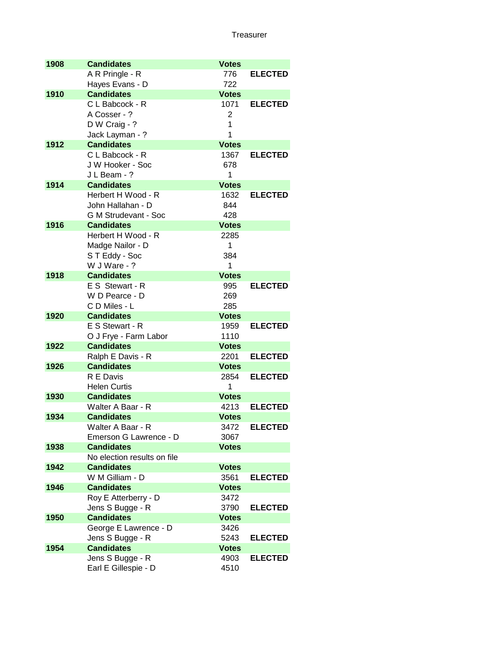| 1908 | <b>Candidates</b>           | <b>Votes</b> |                |
|------|-----------------------------|--------------|----------------|
|      | A R Pringle - R             | 776          | <b>ELECTED</b> |
|      | Hayes Evans - D             | 722          |                |
| 1910 | <b>Candidates</b>           | <b>Votes</b> |                |
|      | C L Babcock - R             | 1071         | <b>ELECTED</b> |
|      | A Cosser - ?                | 2            |                |
|      | D W Craig - ?               | 1            |                |
|      | Jack Layman - ?             | 1            |                |
| 1912 | <b>Candidates</b>           | <b>Votes</b> |                |
|      | C L Babcock - R             | 1367         | <b>ELECTED</b> |
|      | J W Hooker - Soc            | 678          |                |
|      | J L Beam - ?                | 1            |                |
| 1914 | <b>Candidates</b>           | <b>Votes</b> |                |
|      | Herbert H Wood - R          | 1632         | <b>ELECTED</b> |
|      | John Hallahan - D           | 844          |                |
|      | <b>G M Strudevant - Soc</b> | 428          |                |
| 1916 | <b>Candidates</b>           | <b>Votes</b> |                |
|      | Herbert H Wood - R          | 2285         |                |
|      | Madge Nailor - D            | 1            |                |
|      | ST Eddy - Soc               | 384          |                |
|      | W J Ware - ?                | 1            |                |
| 1918 | <b>Candidates</b>           | <b>Votes</b> |                |
|      | E S Stewart - R             | 995          | <b>ELECTED</b> |
|      | W D Pearce - D              | 269          |                |
|      | C D Miles - L               | 285          |                |
| 1920 | <b>Candidates</b>           | <b>Votes</b> |                |
|      | E S Stewart - R             | 1959         | <b>ELECTED</b> |
|      | O J Frye - Farm Labor       | 1110         |                |
| 1922 | <b>Candidates</b>           | <b>Votes</b> |                |
|      | Ralph E Davis - R           | 2201         | <b>ELECTED</b> |
| 1926 | <b>Candidates</b>           | <b>Votes</b> |                |
|      | R E Davis                   | 2854         | <b>ELECTED</b> |
|      | <b>Helen Curtis</b>         | 1            |                |
| 1930 | <b>Candidates</b>           | <b>Votes</b> |                |
|      | Walter A Baar - R           | 4213         | <b>ELECTED</b> |
| 1934 | <b>Candidates</b>           | <b>Votes</b> |                |
|      | Walter A Baar - R           | 3472         | <b>ELECTED</b> |
|      | Emerson G Lawrence - D      | 3067         |                |
| 1938 | <b>Candidates</b>           | <b>Votes</b> |                |
|      | No election results on file |              |                |
| 1942 | <b>Candidates</b>           | <b>Votes</b> |                |
|      | W M Gilliam - D             | 3561         | <b>ELECTED</b> |
| 1946 | <b>Candidates</b>           | <b>Votes</b> |                |
|      | Roy E Atterberry - D        | 3472         |                |
|      | Jens S Bugge - R            | 3790         | <b>ELECTED</b> |
| 1950 | <b>Candidates</b>           | <b>Votes</b> |                |
|      | George E Lawrence - D       | 3426         |                |
|      | Jens S Bugge - R            | 5243         | <b>ELECTED</b> |
| 1954 | <b>Candidates</b>           | <b>Votes</b> |                |
|      | Jens S Bugge - R            | 4903         | <b>ELECTED</b> |
|      | Earl E Gillespie - D        | 4510         |                |